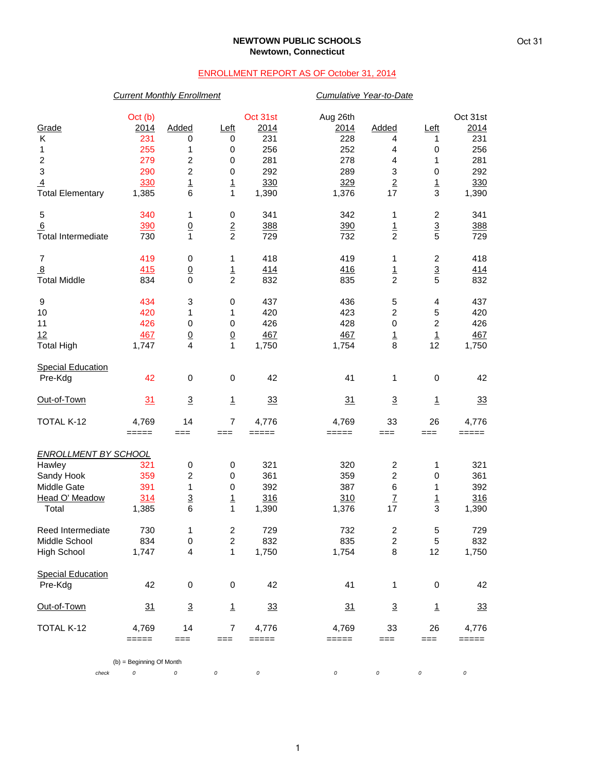#### **NEWTOWN PUBLIC SCHOOLS Newtown, Connecticut**

### ENROLLMENT REPORT AS OF October 31, 2014

# *Current Monthly Enrollment Cumulative Year-to-Date* Oct (b) Oct 31st Aug 26th Oct 31st Grade 2014 Added Left 2014 2014 Added Left 2014 K 231 0 0 231 228 4 1 231 1 255 1 0 256 252 4 0 256 2 279 2 0 281 278 4 1 281 3 290 2 0 292 289 3 0 292 <u>4</u> 3<u>30 1 330</u> 329 2 1 330 Total Elementary 1,385 6 1 1,390 1,376 17 3 1,390 5 340 1 0 341 342 1 2 341 6 390 0 2 388 390 1 3 388  $\frac{6}{10}$   $\frac{380}{100}$   $\frac{390}{1}$   $\frac{2}{2}$   $\frac{388}{729}$   $\frac{380}{732}$   $\frac{1}{2}$   $\frac{3}{5}$   $\frac{388}{729}$  7 419 0 1 418 419 1 2 418 8 415 0 1 414 416 1 3 414 Total Middle 834 0 2 832 835 2 5 832 9 434 3 0 437 436 5 4 437 10 420 1 1 420 423 2 5 420 11 426 0 0 426 428 0 2 426 12 467 0 0 467 467 1 1 467 Total High 1,747 4 1 1,750 1,754 8 12 1,750 **Special Education**  Pre-Kdg 42 0 0 42 41 1 0 42 Out-of-Town 31 3 1 33 31 3 1 33 TOTAL K-12 4,769 14 7 4,776 4,769 33 26 4,776 ===== === === ===== ===== === === ===== *ENROLLMENT BY SCHOOL* Hawley 321 0 0 321 320 2 1 321 Sandy Hook 359 2 0 361 359 2 0 361 Middle Gate 391 1 0 392 387 6 1 392 Head O' Meadow 314 3 1 316 310 7 1 316 Total 1,385 6 1 1,390 1,376 17 3 1,390 Peed Intermediate 200 1 2 729 732 2 5 729 732 732 5 729 732 732 5 729 732 732 732 5 729 732 732 732 732 732 73 Middle School 834 0 2 832 835 2 5 832 High School 1,747 4 1 1,750 1,754 8 12 1,750 Special Education<br>Pre-Kdg Pre-Kdg 42 0 0 42 41 1 0 42 Out-of-Town 31 3 1 33 31 3 1 33 TOTAL K-12 4,769 14 7 4,776 4,769 33 26 4,776 ===== === === ===== ===== === === ===== (b) = Beginning Of Month